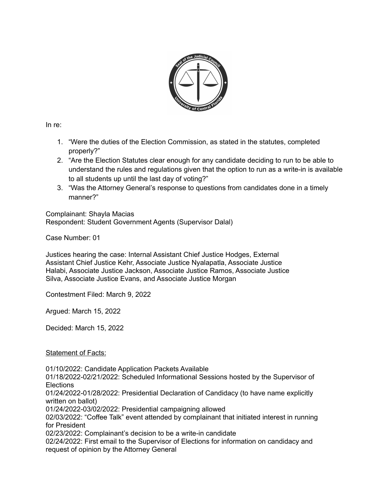

In re:

- 1. "Were the duties of the Election Commission, as stated in the statutes, completed properly?"
- 2. "Are the Election Statutes clear enough for any candidate deciding to run to be able to understand the rules and regulations given that the option to run as a write-in is available to all students up until the last day of voting?"
- 3. "Was the Attorney General's response to questions from candidates done in a timely manner?"

Complainant: Shayla Macias Respondent: Student Government Agents (Supervisor Dalal)

Case Number: 01

Justices hearing the case: Internal Assistant Chief Justice Hodges, External Assistant Chief Justice Kehr, Associate Justice Nyalapatla, Associate Justice Halabi, Associate Justice Jackson, Associate Justice Ramos, Associate Justice Silva, Associate Justice Evans, and Associate Justice Morgan

Contestment Filed: March 9, 2022

Argued: March 15, 2022

Decided: March 15, 2022

Statement of Facts:

01/10/2022: Candidate Application Packets Available

01/18/2022-02/21/2022: Scheduled Informational Sessions hosted by the Supervisor of **Elections** 

01/24/2022-01/28/2022: Presidential Declaration of Candidacy (to have name explicitly written on ballot)

01/24/2022-03/02/2022: Presidential campaigning allowed

02/03/2022: "Coffee Talk" event attended by complainant that initiated interest in running for President

02/23/2022: Complainant's decision to be a write-in candidate

02/24/2022: First email to the Supervisor of Elections for information on candidacy and request of opinion by the Attorney General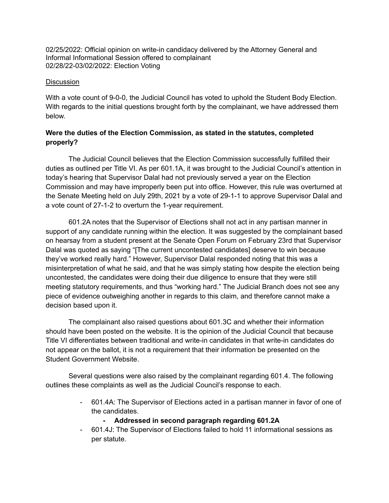02/25/2022: Official opinion on write-in candidacy delivered by the Attorney General and Informal Informational Session offered to complainant 02/28/22-03/02/2022: Election Voting

#### **Discussion**

With a vote count of 9-0-0, the Judicial Council has voted to uphold the Student Body Election. With regards to the initial questions brought forth by the complainant, we have addressed them below.

# **Were the duties of the Election Commission, as stated in the statutes, completed properly?**

The Judicial Council believes that the Election Commission successfully fulfilled their duties as outlined per Title VI. As per 601.1A, it was brought to the Judicial Council's attention in today's hearing that Supervisor Dalal had not previously served a year on the Election Commission and may have improperly been put into office. However, this rule was overturned at the Senate Meeting held on July 29th, 2021 by a vote of 29-1-1 to approve Supervisor Dalal and a vote count of 27-1-2 to overturn the 1-year requirement.

601.2A notes that the Supervisor of Elections shall not act in any partisan manner in support of any candidate running within the election. It was suggested by the complainant based on hearsay from a student present at the Senate Open Forum on February 23rd that Supervisor Dalal was quoted as saying "[The current uncontested candidates] deserve to win because they've worked really hard." However, Supervisor Dalal responded noting that this was a misinterpretation of what he said, and that he was simply stating how despite the election being uncontested, the candidates were doing their due diligence to ensure that they were still meeting statutory requirements, and thus "working hard." The Judicial Branch does not see any piece of evidence outweighing another in regards to this claim, and therefore cannot make a decision based upon it.

The complainant also raised questions about 601.3C and whether their information should have been posted on the website. It is the opinion of the Judicial Council that because Title VI differentiates between traditional and write-in candidates in that write-in candidates do not appear on the ballot, it is not a requirement that their information be presented on the Student Government Website.

Several questions were also raised by the complainant regarding 601.4. The following outlines these complaints as well as the Judicial Council's response to each.

> - 601.4A: The Supervisor of Elections acted in a partisan manner in favor of one of the candidates.

### **- Addressed in second paragraph regarding 601.2A**

- 601.4J: The Supervisor of Elections failed to hold 11 informational sessions as per statute.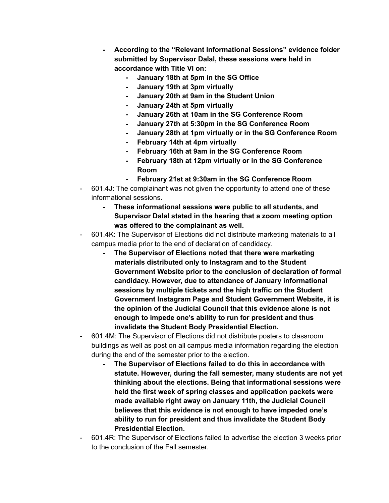- **- According to the "Relevant Informational Sessions" evidence folder submitted by Supervisor Dalal, these sessions were held in accordance with Title VI on:**
	- **- January 18th at 5pm in the SG Office**
	- **- January 19th at 3pm virtually**
	- **- January 20th at 9am in the Student Union**
	- **- January 24th at 5pm virtually**
	- **- January 26th at 10am in the SG Conference Room**
	- **- January 27th at 5:30pm in the SG Conference Room**
	- **- January 28th at 1pm virtually or in the SG Conference Room**
	- **- February 14th at 4pm virtually**
	- **- February 16th at 9am in the SG Conference Room**
	- **- February 18th at 12pm virtually or in the SG Conference Room**
	- **- February 21st at 9:30am in the SG Conference Room**
- 601.4J: The complainant was not given the opportunity to attend one of these informational sessions.
	- **- These informational sessions were public to all students, and Supervisor Dalal stated in the hearing that a zoom meeting option was offered to the complainant as well.**
- 601.4K: The Supervisor of Elections did not distribute marketing materials to all campus media prior to the end of declaration of candidacy.
	- **- The Supervisor of Elections noted that there were marketing materials distributed only to Instagram and to the Student Government Website prior to the conclusion of declaration of formal candidacy. However, due to attendance of January informational sessions by multiple tickets and the high traffic on the Student Government Instagram Page and Student Government Website, it is the opinion of the Judicial Council that this evidence alone is not enough to impede one's ability to run for president and thus invalidate the Student Body Presidential Election.**
- 601.4M: The Supervisor of Elections did not distribute posters to classroom buildings as well as post on all campus media information regarding the election during the end of the semester prior to the election.
	- **- The Supervisor of Elections failed to do this in accordance with statute. However, during the fall semester, many students are not yet thinking about the elections. Being that informational sessions were held the first week of spring classes and application packets were made available right away on January 11th, the Judicial Council believes that this evidence is not enough to have impeded one's ability to run for president and thus invalidate the Student Body Presidential Election.**
- 601.4R: The Supervisor of Elections failed to advertise the election 3 weeks prior to the conclusion of the Fall semester.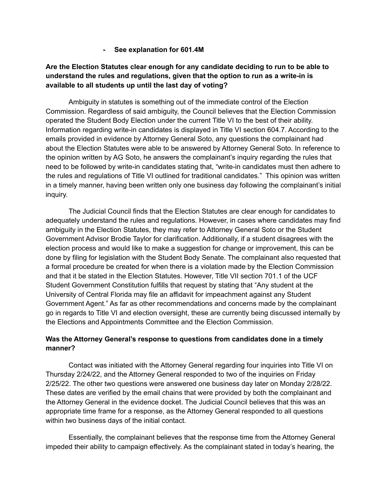**- See explanation for 601.4M**

# **Are the Election Statutes clear enough for any candidate deciding to run to be able to understand the rules and regulations, given that the option to run as a write-in is available to all students up until the last day of voting?**

Ambiguity in statutes is something out of the immediate control of the Election Commission. Regardless of said ambiguity, the Council believes that the Election Commission operated the Student Body Election under the current Title VI to the best of their ability. Information regarding write-in candidates is displayed in Title VI section 604.7. According to the emails provided in evidence by Attorney General Soto, any questions the complainant had about the Election Statutes were able to be answered by Attorney General Soto. In reference to the opinion written by AG Soto, he answers the complainant's inquiry regarding the rules that need to be followed by write-in candidates stating that, "write-in candidates must then adhere to the rules and regulations of Title VI outlined for traditional candidates." This opinion was written in a timely manner, having been written only one business day following the complainant's initial inquiry.

The Judicial Council finds that the Election Statutes are clear enough for candidates to adequately understand the rules and regulations. However, in cases where candidates may find ambiguity in the Election Statutes, they may refer to Attorney General Soto or the Student Government Advisor Brodie Taylor for clarification. Additionally, if a student disagrees with the election process and would like to make a suggestion for change or improvement, this can be done by filing for legislation with the Student Body Senate. The complainant also requested that a formal procedure be created for when there is a violation made by the Election Commission and that it be stated in the Election Statutes. However, Title VII section 701.1 of the UCF Student Government Constitution fulfills that request by stating that "Any student at the University of Central Florida may file an affidavit for impeachment against any Student Government Agent." As far as other recommendations and concerns made by the complainant go in regards to Title VI and election oversight, these are currently being discussed internally by the Elections and Appointments Committee and the Election Commission.

### **Was the Attorney General's response to questions from candidates done in a timely manner?**

Contact was initiated with the Attorney General regarding four inquiries into Title VI on Thursday 2/24/22, and the Attorney General responded to two of the inquiries on Friday 2/25/22. The other two questions were answered one business day later on Monday 2/28/22. These dates are verified by the email chains that were provided by both the complainant and the Attorney General in the evidence docket. The Judicial Council believes that this was an appropriate time frame for a response, as the Attorney General responded to all questions within two business days of the initial contact.

Essentially, the complainant believes that the response time from the Attorney General impeded their ability to campaign effectively. As the complainant stated in today's hearing, the